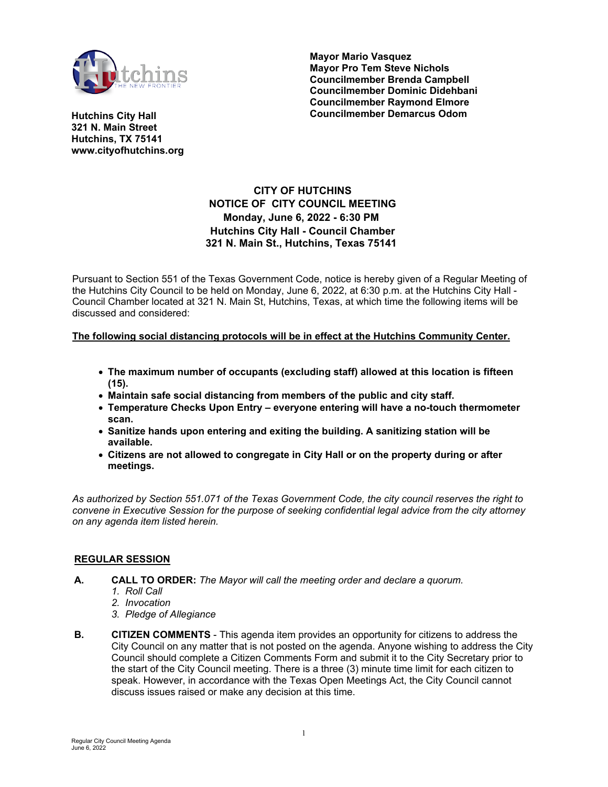

**Mayor Mario Vasquez Mayor Pro Tem Steve Nichols Councilmember Brenda Campbell Councilmember Dominic Didehbani Councilmember Raymond Elmore Councilmember Demarcus Odom**

**Hutchins City Hall 321 N. Main Street Hutchins, TX 75141 www.cityofhutchins.org**

# **CITY OF HUTCHINS NOTICE OF CITY COUNCIL MEETING Monday, June 6, 2022 - 6:30 PM Hutchins City Hall - Council Chamber 321 N. Main St., Hutchins, Texas 75141**

Pursuant to Section 551 of the Texas Government Code, notice is hereby given of a Regular Meeting of the Hutchins City Council to be held on Monday, June 6, 2022, at 6:30 p.m. at the Hutchins City Hall - Council Chamber located at 321 N. Main St, Hutchins, Texas, at which time the following items will be discussed and considered:

### **The following social distancing protocols will be in effect at the Hutchins Community Center.**

- **The maximum number of occupants (excluding staff) allowed at this location is fifteen (15).**
- **Maintain safe social distancing from members of the public and city staff.**
- **Temperature Checks Upon Entry everyone entering will have a no-touch thermometer scan.**
- **Sanitize hands upon entering and exiting the building. A sanitizing station will be available.**
- **Citizens are not allowed to congregate in City Hall or on the property during or after meetings.**

*As authorized by Section 551.071 of the Texas Government Code, the city council reserves the right to convene in Executive Session for the purpose of seeking confidential legal advice from the city attorney on any agenda item listed herein.*

### **REGULAR SESSION**

- **A. CALL TO ORDER:** *The Mayor will call the meeting order and declare a quorum.*
	- *1. Roll Call*
	- *2. Invocation*
	- *3. Pledge of Allegiance*
- **B. CITIZEN COMMENTS** This agenda item provides an opportunity for citizens to address the City Council on any matter that is not posted on the agenda. Anyone wishing to address the City Council should complete a Citizen Comments Form and submit it to the City Secretary prior to the start of the City Council meeting. There is a three (3) minute time limit for each citizen to speak. However, in accordance with the Texas Open Meetings Act, the City Council cannot discuss issues raised or make any decision at this time.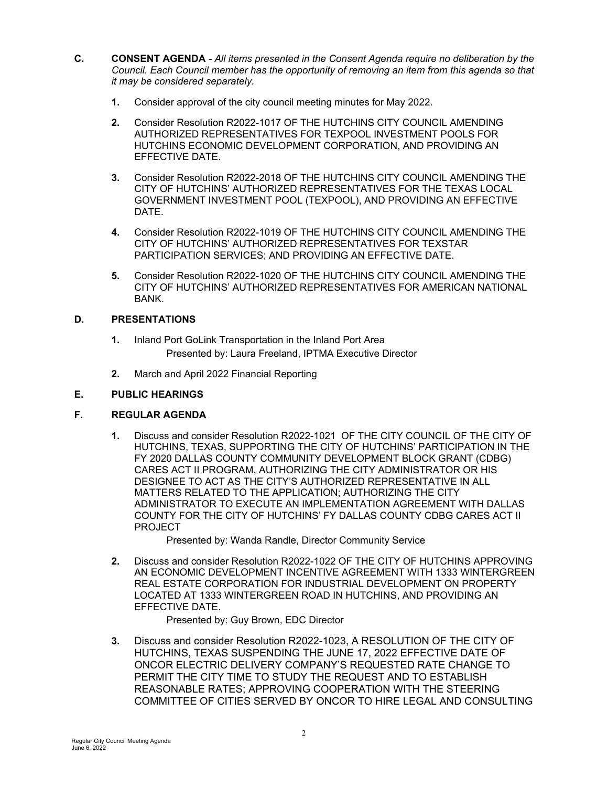- **C. CONSENT AGENDA**  *All items presented in the Consent Agenda require no deliberation by the Council. Each Council member has the opportunity of removing an item from this agenda so that it may be considered separately.*
	- **1.** Consider approval of the city council meeting minutes for May 2022.
	- **2.** Consider Resolution R2022-1017 OF THE HUTCHINS CITY COUNCIL AMENDING AUTHORIZED REPRESENTATIVES FOR TEXPOOL INVESTMENT POOLS FOR HUTCHINS ECONOMIC DEVELOPMENT CORPORATION, AND PROVIDING AN EFFECTIVE DATE.
	- **3.** Consider Resolution R2022-2018 OF THE HUTCHINS CITY COUNCIL AMENDING THE CITY OF HUTCHINS' AUTHORIZED REPRESENTATIVES FOR THE TEXAS LOCAL GOVERNMENT INVESTMENT POOL (TEXPOOL), AND PROVIDING AN EFFECTIVE DATE.
	- **4.** Consider Resolution R2022-1019 OF THE HUTCHINS CITY COUNCIL AMENDING THE CITY OF HUTCHINS' AUTHORIZED REPRESENTATIVES FOR TEXSTAR PARTICIPATION SERVICES; AND PROVIDING AN EFFECTIVE DATE.
	- **5.** Consider Resolution R2022-1020 OF THE HUTCHINS CITY COUNCIL AMENDING THE CITY OF HUTCHINS' AUTHORIZED REPRESENTATIVES FOR AMERICAN NATIONAL BANK.

### **D. PRESENTATIONS**

- **1.** Inland Port GoLink Transportation in the Inland Port Area Presented by: Laura Freeland, IPTMA Executive Director
- **2.** March and April 2022 Financial Reporting

## **E. PUBLIC HEARINGS**

## **F. REGULAR AGENDA**

**1.** Discuss and consider Resolution R2022-1021 OF THE CITY COUNCIL OF THE CITY OF HUTCHINS, TEXAS, SUPPORTING THE CITY OF HUTCHINS' PARTICIPATION IN THE FY 2020 DALLAS COUNTY COMMUNITY DEVELOPMENT BLOCK GRANT (CDBG) CARES ACT II PROGRAM, AUTHORIZING THE CITY ADMINISTRATOR OR HIS DESIGNEE TO ACT AS THE CITY'S AUTHORIZED REPRESENTATIVE IN ALL MATTERS RELATED TO THE APPLICATION; AUTHORIZING THE CITY ADMINISTRATOR TO EXECUTE AN IMPLEMENTATION AGREEMENT WITH DALLAS COUNTY FOR THE CITY OF HUTCHINS' FY DALLAS COUNTY CDBG CARES ACT II PROJECT

Presented by: Wanda Randle, Director Community Service

**2.** Discuss and consider Resolution R2022-1022 OF THE CITY OF HUTCHINS APPROVING AN ECONOMIC DEVELOPMENT INCENTIVE AGREEMENT WITH 1333 WINTERGREEN REAL ESTATE CORPORATION FOR INDUSTRIAL DEVELOPMENT ON PROPERTY LOCATED AT 1333 WINTERGREEN ROAD IN HUTCHINS, AND PROVIDING AN EFFECTIVE DATE.

Presented by: Guy Brown, EDC Director

**3.** Discuss and consider Resolution R2022-1023, A RESOLUTION OF THE CITY OF HUTCHINS, TEXAS SUSPENDING THE JUNE 17, 2022 EFFECTIVE DATE OF ONCOR ELECTRIC DELIVERY COMPANY'S REQUESTED RATE CHANGE TO PERMIT THE CITY TIME TO STUDY THE REQUEST AND TO ESTABLISH REASONABLE RATES; APPROVING COOPERATION WITH THE STEERING COMMITTEE OF CITIES SERVED BY ONCOR TO HIRE LEGAL AND CONSULTING